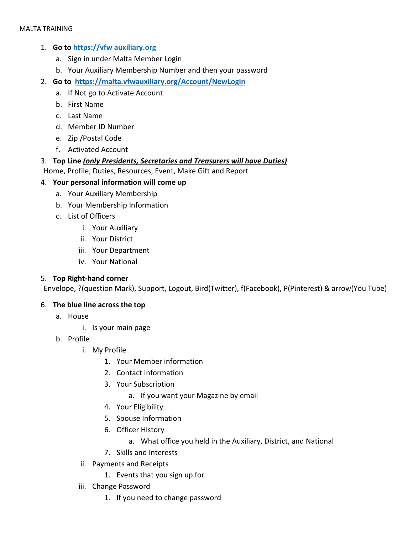# 1. **Go to https://vfw auxiliary.org**

- a. Sign in under Malta Member Login
- b. Your Auxiliary Membership Number and then your password
- 2. **Go to <https://malta.vfwauxiliary.org/Account/NewLogin>**
	- a. If Not go to Activate Account
	- b. First Name
	- c. Last Name
	- d. Member ID Number
	- e. Zip /Postal Code
	- f. Activated Account
- 3. **Top Line** *(only Presidents, Secretaries and Treasurers will have Duties)*

Home, Profile, Duties, Resources, Event, Make Gift and Report

- 4. **Your personal information will come up** 
	- a. Your Auxiliary Membership
	- b. Your Membership Information
	- c. List of Officers
		- i. Your Auxiliary
		- ii. Your District
		- iii. Your Department
		- iv. Your National

### 5. **Top Right-hand corner**

Envelope, ?(question Mark), Support, Logout, Bird(Twitter), f(Facebook), P(Pinterest) & arrow(You Tube)

### 6. **The blue line across the top**

- a. House
	- i. Is your main page
- b. Profile
	- i. My Profile
		- 1. Your Member information
		- 2. Contact Information
		- 3. Your Subscription
			- a. If you want your Magazine by email
		- 4. Your Eligibility
		- 5. Spouse Information
		- 6. Officer History
			- a. What office you held in the Auxiliary, District, and National
		- 7. Skills and Interests
	- ii. Payments and Receipts
		- 1. Events that you sign up for
	- iii. Change Password
		- 1. If you need to change password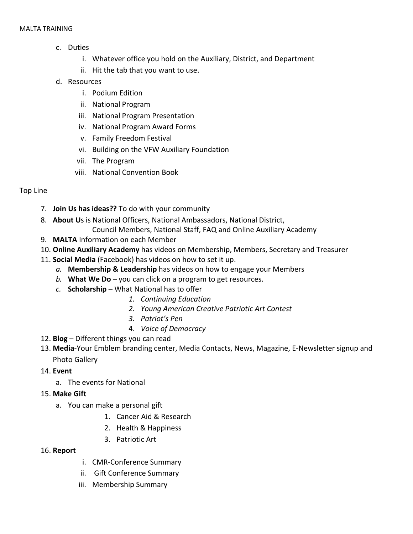- c. Duties
	- i. Whatever office you hold on the Auxiliary, District, and Department
	- ii. Hit the tab that you want to use.
- d. Resources
	- i. Podium Edition
	- ii. National Program
	- iii. National Program Presentation
	- iv. National Program Award Forms
	- v. Family Freedom Festival
	- vi. Building on the VFW Auxiliary Foundation
	- vii. The Program
	- viii. National Convention Book

# Top Line

- 7. **Join Us has ideas??** To do with your community
- 8. **About U**s is National Officers, National Ambassadors, National District, Council Members, National Staff, FAQ and Online Auxiliary Academy
- 9. **MALTA** Information on each Member
- 10. **Online Auxiliary Academy** has videos on Membership, Members, Secretary and Treasurer
- 11. **Social Media** (Facebook) has videos on how to set it up.
	- *a.* **Membership & Leadership** has videos on how to engage your Members
	- *b.* **What We Do** you can click on a program to get resources.
	- *c.* **Scholarship**  What National has to offer
		- *1. Continuing Education*
		- *2. [Young American Creative Patriotic Art Contest](http://vfwauxiliary.org/scholarships/young-american-creative-patriotic-art-contest/)*
		- *3. [Patriot's Pen](http://www.vfw.org/PatriotsPen/)*
		- 4. *[Voice of Democracy](http://www.vfw.org/VOD/)*
- 12. **Blog** Different things you can read
- 13. **Media**-Your Emblem branding center, Media Contacts, News, Magazine, E-Newsletter signup and Photo Gallery
- 14. **Event**
	- a. The events for National
- 15. **Make Gift**
	- a. You can make a personal gift
		- 1. Cancer Aid & Research
		- 2. Health & Happiness
		- 3. Patriotic Art
- 16. **Report**
- i. CMR-Conference Summary
- ii. Gift Conference Summary
- iii. Membership Summary